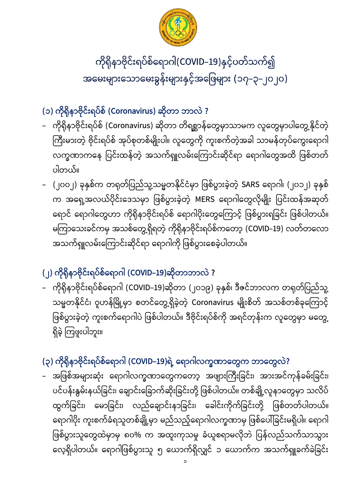

ကိုရိုနာဗိုင်းရပ်စ်ရောဂါ(COVID–19)နှင့်ပတ်သက်၍ အမေးများသောမေးခွန်းများနှင့်အဖြေများ (၁၇–၃–၂၀၂၀)

## **(၁) (Coronavirus) ?**

- ကိုရိုနာဗိုင်းရပ်စ် (Coronavirus) ဆိုတာ တိရစ္ဆာန်တွေမှာသာမက လူတွေမှာပါတွေ့နိုင်တဲ့ ကြီးမားတဲ့ ဗိုင်းရပ်စ် အုပ်စုတစ်မျိုးပါ။ လူတွေကို ကူးစက်တဲ့အခါ သာမန်တုပ်ကွေးရောဂါ လက္ခဏာကနေ ပြင်းထန်တဲ့ အသက်ရှူလမ်းကြောင်းဆိုင်ရာ ရောဂါတွေအထိ ဖြစ်တတ် ပါတယ်။
- (၂၀၀၂) ခုနှစ်က တရုတ်ပြည်သူ့သမ္မတနိုင်ငံမှာ ဖြစ်ပွားခဲ့တဲ့ SARS ရောဂါ၊ (၂၀၁၂) ခုနှစ် က အရှေ့အလယ်ပိုင်းဒေသမှာ ဖြစ်ပွားခဲ့တဲ့ MERS ရောဂါတွေလိုမျိုး ပြင်းထန်အဆုတ် ရောင် ရောဂါတွေဟာ ကိုရိုနာဗိုင်းရပ်စ် ရောဂါပိုးတွေကြောင့် ဖြစ်ပွားရခြင်း ဖြစ်ပါတယ်။ မကြာသေးခင်ကမှ အသစ်တွေ့ရှိရတဲ့ ကိုရိုနာဗိုင်းရပ်စ်ကတော့ (COVID–19) လတ်တလော အသက်ရှူလမ်းကြောင်းဆိုင်ရာ ရောဂါကို ဖြစ်ပွားစေခဲ့ပါတယ်။

## **(၂) (COVID-19) ?**

– ကိုရိုနာဗိုင်းရပ်စ်ရောဂါ (COVID–19)ဆိုတာ (၂၀၁၉) ခုနှစ်၊ ဒီဇင်ဘာလက တရုတ်ပြည်သူ့ သမ္မတနိုင်ငံ၊ ဝူဟန်မြို့မှာ စတင်တွေ့ရှိခဲ့တဲ့ Coronavirus မျိုးစိတ် အသစ်တစ်ခုကြောင့် ဖြစ်ပွားခဲ့တဲ့ ကူးစက်ရောဂါပဲ ဖြစ်ပါတယ်။ ဒီဗိုင်းရပ်စ်ကို အရင်တုန်းက လူတွေမှာ မတွေ့ ရှိခဲ့ ကြဖူးပါဘူး။

### (၃) ကိုရိုနာဗိုင်းရပ်စ်ရောဂါ (COVID–19)ရဲ့ ရောဂါလက္ခဏာတွေက ဘာတွေလဲ?

– အဖြစ်အများဆုံး ရောဂါလက္ခဏာတွေကတော့ အဖျားကြီးခြင်း၊ အားအင်ကုန်ခမ်းခြင်း၊ ပင်ပန်းနွမ်းနယ်ခြင်း၊ ချောင်းခြောက်ဆိုးခြင်းတို့ ဖြစ်ပါတယ်။ တစ်ချို့လူနာတွေမှာ သလိပ် ထွက်ခြင်း၊ မောခြင်း၊ လည်ချောင်းနာခြင်း၊ ခေါင်းကိုက်ခြင်းတို့ ဖြစ်တတ်ပါတယ်။ ရောဂါပိုး ကူးစက်ခံရသူတစ်ချို့မှာ မည်သည့်ရောဂါလက္ခဏာမှ ဖြစ်ပေါ်ခြင်းမရှိပါ။ ရောဂါ ဖြစ်ပွားသူတွေထဲမှာမှ ၈၀% က အထူးကုသမှု ခံယူစရာမလိုဘဲ ပြန်လည်သက်သာသွား လေ့ရှိပါတယ်။ ရောဂါဖြစ်ပွားသူ ၅ ယောက်ရှိလျှင် ၁ ယောက်က အသက်ရှူခက်ခဲခြင်း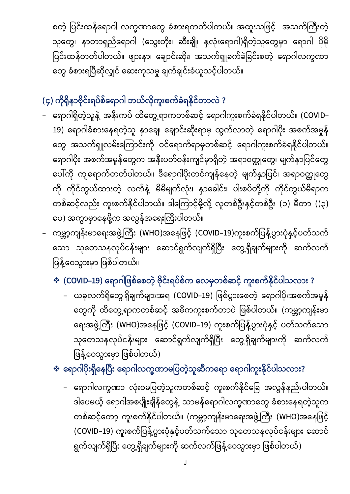စတဲ့ ပြင်းထန်ရောဂါ လက္ခဏာတွေ ခံစားရတတ်ပါတယ်။ အထူးသဖြင့် အသက်ကြီးတဲ့ သူတွေ၊ နာတာရှည်ရောဂါ (သွေးတိုး၊ ဆီးချို၊ နှလုံးရောဂါ)ရှိတဲ့သူတွေမှာ ရောဂါ ပိုမို ပြင်းထန်တတ်ပါတယ်။ ဖျားနာ၊ ချောင်းဆိုး၊ အသက်ရှူခက်ခဲခြင်းစတဲ့ ရောဂါလက္ခဏာ တွေ ခံစားရပြီဆိုလျှင် ဆေးကုသမှု ချက်ချင်းခံယူသင့်ပါတယ်။

## **(၄) ?**

- ရောဂါရှိတဲ့သူနဲ့ အနီးကပ် ထိတွေ့ရာကတစ်ဆင့် ရောဂါကူးစက်ခံရနိုင်ပါတယ်။ (COVID– 19) ရောဂါခံစားနေရတဲ့သူ နှာချေ၊ ချောင်းဆိုးရာမှ ထွက်လာတဲ့ ရောဂါပိုး အစက်အမှုန် တွေ အသက်ရှူလမ်းကြောင်းကို ဝင်ရောက်ရာမှတစ်ဆင့် ရောဂါကူးစက်ခံရနိုင်ပါတယ်။ ရောဂါပိုး အစက်အမှုန်တွေက အနီးပတ်ဝန်းကျင်မှာရှိတဲ့ အရာဝတ္ထုတွေ၊ မျက်နှာပြင်တွေ ပေါ်ကို ကျရောက်တတ်ပါတယ်။ ဒီရောဂါပိုးတင်ကျန်နေတဲ့ မျက်နှာပြင်၊ အရာဝတ္ထုတွေ ကို ကိုင်တွယ်ထားတဲ့ လက်နဲ့ မိမိမျက်လုံး၊ နှာခေါင်း၊ ပါးစပ်တို့ကို ကိုင်တွယ်မိရာက တစ်ဆင့်လည်း ကူးစက်နိုင်ပါတယ်။ ဒါကြောင့်မို့လို့ လူတစ်ဦးနှင့်တစ်ဦး (၁) မီတာ ((၃) ပေ) အကွာမှာနေဖို့က အလွန်အရေးကြီးပါတယ်။
- ကမ္ဘာ့ကျန်းမာရေးအဖွဲ့ကြီး (WHO)အနေဖြင့် (COVID–19)ကူးစက်ပြန့်ပွားပုံနှင့်ပတ်သက် သော သုတေသနလုပ်ငန်းများ ဆောင်ရွက်လျက်ရှိပြီး တွေ့ရှိချက်များကို ဆက်လက် ဖြန့်ဝေသွားမှာ ဖြစ်ပါတယ်။
	- $\cdot \cdot$  **(COVID–19) ရောဂါဖြစ်စေတဲ့ ဗိုင်းရပ်စ်က လေမှတစ်ဆင့် ကူးစက်နိုင်ပါသလား ?** 
		- ယခုလက်ရှိတွေ့ရှိချက်များအရ (COVID–19) ဖြစ်ပွားစေတဲ့ ရောဂါပိုးအစက်အမှုန် တွေကို ထိတွေ့ရာကတစ်ဆင့် အဓိကကူးစက်တာပဲ ဖြစ်ပါတယ်။ (ကမ္ဘာ့ကျန်းမာ ရေးအဖွဲ့ကြီး (WHO)အနေဖြင့် (COVID–19) ကူးစက်ပြန့်ပွားပုံနှင့် ပတ်သက်သော သုတေသနလုပ်ငန်းများ ဆောင်ရွက်လျက်ရှိပြီး တွေ့ရှိချက်များကို ဆက်လက် ဖြန့်ဝေသွားမှာ ဖြစ်ပါတယ်)
	- $\boldsymbol{\dot{\cdot}}$  **ရောဂါပိုးရှိနေပြီး ရောဂါလက္ခဏာမပြတဲ့သူဆီကရော ရောဂါကူးနိုင်ပါသလား?** 
		- ရောဂါလက္ခဏာ လုံးဝမပြတဲ့သူကတစ်ဆင့် ကူးစက်နိုင်ခြေ အလွန်နည်းပါတယ်။ ဒါပေမယ့် ရောဂါအစပျိုးချိန်တွေနဲ့ သာမန်ရောဂါလက္ခဏာတွေ ခံစားနေရတဲ့သူက တစ်ဆင့်တော့ ကူးစက်နိုင်ပါတယ်။ (ကမ္ဘာ့ကျန်းမာရေးအဖွဲ့ကြီး (WHO)အနေဖြင့် (COVID-19) ကူးစက်ပြန့်ပွားပုံနှင့်ပတ်သက်သော သုတေသနလုပ်ငန်းများ ဆောင် ရွက်လျက်ရှိပြီး တွေ့ရှိချက်များကို ဆက်လက်ဖြန့်ဝေသွားမှာ ဖြစ်ပါတယ်)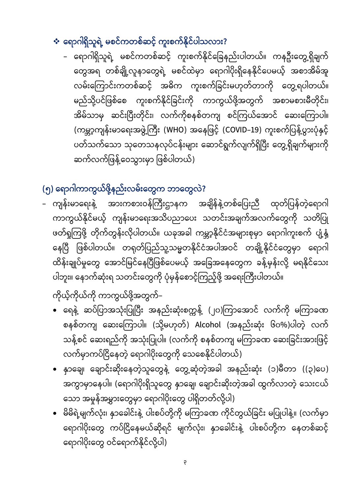### $\cdot$  ရောဂါရှိသူရဲ့ မစင်ကတစ်ဆင့် ကူးစက်နိုင်ပါသလား?

ရောဂါရှိသူရဲ့ မစင်ကတစ်ဆင့် ကူးစက်နိုင်ခြေနည်းပါတယ်။ ကနဦးတွေ့ရှိချက် တွေအရ တစ်ချို့လူနာတွေရဲ့ မစင်ထဲမှာ ရောဂါပိုးရှိနေနိုင်ပေမယ့် အစာအိမ်အူ လမ်းကြောင်းကတစ်ဆင့် အဓိက ကူးစက်ခြင်းမဟုတ်တာကို တွေ့ရပါတယ်။ မည်သို့ပင်ဖြစ်စေ ကူးစက်နိုင်ခြင်းကို ကာကွယ်ဖို့အတွက် အစာမစားမီတိုင်း၊ အိမ်သာမှ ဆင်းပြီးတိုင်း၊ လက်ကိုစနစ်တကျ စင်ကြယ်အောင် ဆေးကြောပါ။ (ကမ္ဘာ့ကျန်းမာရေးအဖွဲ့ကြီး (WHO) အနေဖြင့် (COVID–19) ကူးစက်ပြန့်ပွားပုံနှင့် ပတ်သက်သော သုတေသနလုပ်ငန်းများ ဆောင်ရွက်လျက်ရှိပြီး တွေ့ရှိချက်များကို ဆက်လက်ဖြန့်ဝေသွားမှာ ဖြစ်ပါတယ်)

### (၅) ရောဂါကာကွယ်ဖို့နည်းလမ်းတွေက ဘာတွေလဲ?

– ကျန်းမာရေးနဲ့ အားကစားဝန်ကြီးဌာနက အချိန်နဲ့တစ်ပြေးညီ ထုတ်ပြန်တဲ့ရောဂါ ကာကွယ်နိုင်မယ့် ကျန်းမာရေးအသိပညာပေး သတင်းအချက်အလက်တွေကို သတိပြု ဖတ်ရှုကြဖို့ တိုက်တွန်းလိုပါတယ်။ ယခုအခါ ကမ္ဘာ့နိုင်ငံအများစုမှာ ရောဂါကူးစက် ပျံ့နှံ့ နေပြီ ဖြစ်ပါတယ်။ တရုတ်ပြည်သူ့သမ္မတနိုင်ငံအပါအဝင် တချို့နိုင်ငံတွေမှာ ရောဂါ ထိန်းချုပ်မှုတွေ အောင်မြင်နေပြီဖြစ်ပေမယ့် အခြေအနေတွေက ခန့်မှန်းလို့ မရနိုင်သေး ပါဘူး။ နောက်ဆုံးရ သတင်းတွေကို ပုံမှန်စောင့်ကြည့်ဖို့ အရေးကြီးပါတယ်။

ကိုယ့်ကိုယ်ကို ကာကွယ်ဖို့အတွက်–

- ရေနဲ့ ဆပ်ပြာအသုံးပြုပြီး အနည်းဆုံးစက္ကနဲ့ (၂၀)ကြာအောင် လက်ကို မကြာခဏ စနစ်တကျ ဆေးကြောပါ။ (သို့မဟုတ်) Alcohol (အနည်းဆုံး ၆၀%)ပါတဲ့ လက် သန့်စင် ဆေးရည်ကို အသုံးပြုပါ။ (လက်ကို စနစ်တကျ မကြာခဏ ဆေးခြင်းအားဖြင့် လက်မှာကပ်ငြိနေတဲ့ ရောဂါပိုးတွေကို သေစေနိုင်ပါတယ်)
- နှာချေ၊ ချောင်းဆိုးနေတဲ့သူတွေနဲ့ တွေ့ဆုံတဲ့အခါ အနည်းဆုံး (၁)မီတာ ((၃)ပေ) အကွာမှာနေပါ။ (ရောဂါပိုးရှိသူတွေ နှာချေ၊ ချောင်းဆိုးတဲ့အခါ ထွက်လာတဲ့ သေးငယ် သော အမှုန်အမွှားတွေမှာ ရောဂါပိုးတွေ ပါရှိတတ်လို့ပါ)
- မိမိရဲ့မျက်လုံး၊ နှာခေါင်းနဲ့ ပါးစပ်တို့ကို မကြာခဏ ကိုင်တွယ်ခြင်း မပြုပါနဲ့။ (လက်မှာ ရောဂါပိုးတွေ ကပ်ငြိနေမယ်ဆိုရင် မျက်လုံး၊ နှာခေါင်းနဲ့ ပါးစပ်တို့က နေတစ်ဆင့် ရောဂါပိုးတွေ ဝင်ရောက်နိုင်လို့ပါ)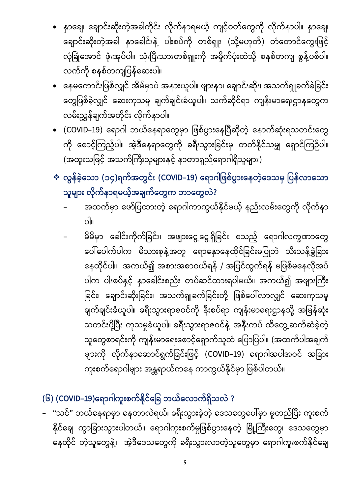9

- **(၆) (COVID-19) ?**
- "သင်" ဘယ်နေရာမှာ နေတာလဲရယ်၊ ခရီးသွားခဲ့တဲ့ ဒေသတွေပေါ်မှာ မူတည်ပြီး ကူးစက် နိုင်ချေ ကွာခြားသွားပါတယ်။ ရောဂါကူးစက်မှုဖြစ်ပွားနေတဲ့ မြို့ကြီးတွေ၊ ဒေသတွေမှာ နေထိုင် တဲ့သူတွေနဲ့၊ အဲ့ဒီဒေသတွေကို ခရီးသွားလာတဲ့သူတွေမှာ ရောဂါကူးစက်နိုင်ချေ
- ။ မိမိမှာ ခေါင်းကိုက်ခြင်း၊ အဖျားငွေ့ငွေ့ရှိခြင်း စသည့် ရောဂါလက္ခဏာတွေ ပေါ်ပေါက်ပါက မိသားစုနဲ့အတူ ရောနှောနေထိုင်ခြင်းမပြုဘဲ သီးသန့်ခွဲခြား နေထိုင်ပါ။ အကယ်၍ အစားအစာဝယ်ရန် / အပြင်ထွက်ရန် မဖြစ်မနေလိုအပ် ပါက ပါးစပ်နှင့် နှာခေါင်းစည်း တပ်ဆင်ထားရပါမယ်။ အကယ်၍ အဖျားကြီး ခြင်း၊ ချောင်းဆိုးခြင်း၊ အသက်ရှူခက်ခြင်းတို့ ဖြစ်ပေါ်လာလျှင် ဆေးကုသမှု ချက်ချင်းခံယူပါ။ ခရီးသွားရာဇဝင်ကို နီးစပ်ရာ ကျန်းမာရေးဌာနသို့ အမြန်ဆုံး သတင်းပို့ပြီး ကုသမှုခံယူပါ။ ခရီးသွားရာဇဝင်နဲ့ အနီးကပ် ထိတွေ့ဆက်ဆံခဲ့တဲ့ သူတွေစာရင်းကို ကျန်းမာရေးစောင့်ရှောက်သူထံ ပြောပြပါ။ (အထက်ပါအချက် များကို လိုက်နာဆောင်ရွက်ခြင်းဖြင့် (COVID–19) ရောဂါအပါအဝင် အခြား ကူးစက်ရောဂါများ အန္တရာယ်ကနေ ကာကွယ်နိုင်မှာ ဖြစ်ပါတယ်။
- သူများ လိုက်နာရမယ့်အချက်တွေက ဘာတွေလဲ? အထက်မှာ ဖော်ပြထားတဲ့ ရောဂါကာကွယ်နိုင်မယ့် နည်းလမ်းတွေကို လိုက်နာ
- (အထူးသဖြင့် အသက်ကြီးသူများနှင့် နာတာရှည်ရောဂါရှိသူများ)  $\boldsymbol{\dot{\cdot}}$  လွန်ခဲ့သော (၁၄)ရက်အတွင်း (COVID–19) ရောဂါဖြစ်ပွားနေတဲ့ဒေသမှ ပြန်လာသော
- (COVID–19) ရောဂါ ဘယ်နေရာတွေမှာ ဖြစ်ပွားနေပြီဆိုတဲ့ နောက်ဆုံးရသတင်းတွေ ကို စောင့်ကြည့်ပါ။ အဲ့ဒီနေရာတွေကို ခရီးသွားခြင်းမှ တတ်နိုင်သမျှ ရှောင်ကြဉ်ပါ။
- နေမကောင်းဖြစ်လျှင် အိမ်မှာပဲ အနားယူပါ။ ဖျားနာ၊ ချောင်းဆိုး၊ အသက်ရှူခက်ခဲခြင်း တွေဖြစ်ခဲ့လျှင် ဆေးကုသမှု ချက်ချင်းခံယူပါ။ သက်ဆိုင်ရာ ကျန်းမာရေးဌာနတွေက လမ်းညွှန်ချက်အတိုင်း လိုက်နာပါ။
- နှာချေ၊ ချောင်းဆိုးတဲ့အခါတိုင်း လိုက်နာရမယ့် ကျင့်ဝတ်တွေကို လိုက်နာပါ။ နှာချေ၊ ချောင်းဆိုးတဲ့အခါ နှာခေါင်းနဲ့ ပါးစပ်ကို တစ်ရှူး (သို့မဟုတ်) တံတောင်ကွေးဖြင့် လုံခြုံအောင် ဖုံးအုပ်ပါ။ သုံးပြီးသားတစ်ရှူးကို အမှိုက်ပုံးထဲသို့ စနစ်တကျ စွန့်ပစ်ပါ။ လက်ကို စနစ်တကျပြန်ဆေးပါ။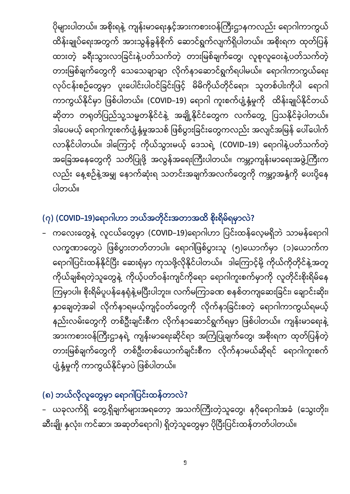ပိုများပါတယ်။ အစိုးရနဲ့ ကျန်းမာရေးနှင့်အားကစားဝန်ကြီးဌာနကလည်း ရောဂါကာကွယ် ထိန်းချုပ်ရေးအတွက် အားသွန်ခွန်စိုက် ဆောင်ရွက်လျက်ရှိပါတယ်။ အစိုးရက ထုတ်ပြန် ထားတဲ့ ခရီးသွားလာခြင်းနဲ့ပတ်သက်တဲ့ တားမြစ်ချက်တွေ၊ လူစုလူဝေးနဲ့ပတ်သက်တဲ့ တားမြစ်ချက်တွေကို သေသေချာချာ လိုက်နာဆောင်ရွက်ရပါမယ်။ ရောဂါကာကွယ်ရေး လုပ်ငန်းစဉ်တွေမှာ ပူးပေါင်းပါဝင်ခြင်းဖြင့် မိမိကိုယ်တိုင်ရော၊ သူတစ်ပါးကိုပါ ရောဂါ ကာကွယ်နိုင်မှာ ဖြစ်ပါတယ်။ (COVID–19) ရောဂါ ကူးစက်ပျံ့နှံ့မှုကို ထိန်းချုပ်နိုင်တယ် ဆိုတာ တရုတ်ပြည်သူ့သမ္မတနိုင်ငံနဲ့ အချို့နိုင်ငံတွေက လက်တွေ့ ပြသနိုင်ခဲ့ပါတယ်။ ဒါပေမယ့် ရောဂါကူးစက်ပျံ့နှံ့မှုအသစ် ဖြစ်ပွားခြင်းတွေကလည်း အလျင်အမြန် ပေါ်ပေါက် လာနိုင်ပါတယ်။ ဒါကြောင့် ကိုယ်သွားမယ့် ဒေသရဲ့ (COVID–19) ရောဂါနဲ့ပတ်သက်တဲ့ အခြေအနေတွေကို သတိပြုဖို့ အလွန်အရေးကြီးပါတယ်။ ကမ္ဘာ့ကျန်းမာရေးအဖွဲ့ကြီးက လည်း နေ့စဉ်နဲ့အမျှ နောက်ဆုံးရ သတင်းအချက်အလက်တွေကို ကမ္ဘာ့အနှံ့ကို ပေးပို့နေ ပါတယ်။

## **(၇) (COVID-19) ?**

– ကလေးတွေနဲ့ လူငယ်တွေမှာ (COVID–19)ရောဂါဟာ ပြင်းထန်လေ့မရှိဘဲ သာမန်ရောဂါ လက္ခဏာတွေပဲ ဖြစ်ပွားတတ်တာပါ။ ရောဂါဖြစ်ပွားသူ (၅)ယောက်မှာ (၁)ယောက်က ရောဂါပြင်းထန်နိုင်ပြီး ဆေးရုံမှာ ကုသဖို့လိုနိုင်ပါတယ်။ ဒါကြောင့်မို့ ကိုယ်ကိုတိုင်နဲ့အတူ ကိုယ်ချစ်ရတဲ့သူတွေနဲ့ ကိုယ့်ပတ်ဝန်းကျင်ကိုရော ရောဂါကူးစက်မှာကို လူတိုင်းစိုးရိမ်နေ ကြမှာပါ။ စိုးရိမ်ပူပန်နေရုံနဲ့မပြီးပါဘူး။ လက်မကြာခဏ စနစ်တကျဆေးခြင်း၊ ချောင်းဆိုး၊ နှာချေတဲ့အခါ လိုက်နာရမယ့်ကျင့်ဝတ်တွေကို လိုက်နာခြင်းစတဲ့ ရောဂါကာကွယ်ရမယ့် နည်းလမ်းတွေကို တစ်ဦးချင်းစီက လိုက်နာဆောင်ရွက်ရမှာ ဖြစ်ပါတယ်။ ကျန်းမာရေးနဲ့ အားကစားဝန်ကြီးဌာနရဲ့ ကျန်းမာရေးဆိုင်ရာ အကြံပြုချက်တွေ၊ အစိုးရက ထုတ်ပြန်တဲ့ တားမြစ်ချက်တွေကို တစ်ဦးတစ်ယောက်ချင်းစီက လိုက်နာမယ်ဆိုရင် ရောဂါကူးစက် ပျံ့နှံ့မှုကို ကာကွယ်နိုင်မှာပဲ ဖြစ်ပါတယ်။

# (<mark>၈) ဘယ်လိုလူတွေမှာ ရောဂါပြင်းထန်တာလဲ?</mark>

– ယခုလက်ရှိ တွေ့ရှိချက်များအရတော့ အသက်ကြီးတဲ့သူတွေ၊ နဂိုရောဂါအခံ (သွေးတိုး၊ ဆီးချို၊ နှလုံး၊ ကင်ဆာ၊ အဆုတ်ရောဂါ) ရှိတဲ့သူတွေမှာ ပိုပြီးပြင်းထန်တတ်ပါတယ်။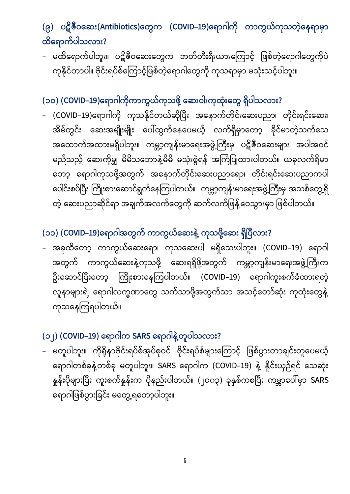## **(၉) (Antibiotics) (COVID-19) ?**

– မထိရောက်ပါဘူး။ ပဋိဇီဝဆေးတွေက ဘတ်တီးရီးယားကြောင့် ဖြစ်တဲ့ရောဂါတွေကိုပဲ ကုနိုင်တာပါ။ ဗိုင်းရပ်စ်ကြောင့်ဖြစ်တဲ့ရောဂါတွေကို ကုသရာမှာ မသုံးသင့်ပါဘူး။

#### **(၁၀) (COVID-19) ?**

– (COVID–19)ရောဂါကို ကုသနိုင်တယ်ဆိုပြီး အနောက်တိုင်းဆေးပညာ၊ တိုင်းရင်းဆေး၊ အိမ်တွင်း ဆေးအမျိုးမျိုး ပေါ်ထွက်နေပေမယ့် လက်ရှိမှာတော့ ခိုင်မာတဲ့သက်သေ အထောက်အထားမရှိပါဘူး။ ကမ္ဘာ့ကျန်းမာရေးအဖွဲ့ကြီးမှ ပဋိဇီဝဆေးများ အပါအဝင် မည်သည့် ဆေးကိုမျှ မိမိသဘောနဲ့မိမိ မသုံးစွဲရန် အကြံပြုထားပါတယ်။ ယခုလက်ရှိမှာ တော့ ရောဂါကုသဖို့အတွက် အနောက်တိုင်းဆေးပညာရော၊ တိုင်းရင်းဆေးပညာကပါ ပေါင်းစပ်ပြီး ကြိုးစားဆောင်ရွက်နေကြပါတယ်။ ကမ္ဘာ့ကျန်းမာရေးအဖွဲ့ကြီးမှ အသစ်တွေ့ရှိ တဲ့ ဆေးပညာဆိုင်ရာ အချက်အလက်တွေကို ဆက်လက်ဖြန့်ဝေသွားမှာ ဖြစ်ပါတယ်။

### **(၁၁) (COVID-19) ?**

– အခုထိတော့ ကာကွယ်ဆေးရော၊ ကုသဆေးပါ မရှိသေးပါဘူး။ (COVID–19) ရောဂါ အတွက် ကာကွယ်ဆေးနဲ့ကုသဖို့ ဆေးရရှိဖို့အတွက် ကမ္ဘာ့ကျန်းမာရေးအဖွဲ့ကြီးက ဦးဆောင်ပြီးတော့ ကြိုးစားနေကြပါတယ်။ (COVID–19) ရောဂါကူးစက်ခံထားရတဲ့ လူနာများရဲ့ ရောဂါလက္ခဏာတွေ သက်သာဖို့အတွက်သာ အသင့်တော်ဆုံး ကုထုံးတွေနဲ့ ကုသနေကြရပါတယ်။

### **(၁၂) (COVID-19) SARS ?**

– မတူပါဘူး။ ကိုရိုနာဗိုင်းရပ်စ်အုပ်စုဝင် ဗိုင်းရပ်စ်များကြောင့် ဖြစ်ပွားတာချင်းတူပေမယ့် ရောဂါတစ်ခုနဲ့တစ်ခု မတူပါဘူး။ SARS ရောဂါက (COVID-19) နဲ့ နိူင်းယှဉ်ရင် သေဆုံး နှုန်းပိုများပြီး ကူးစက်နှုန်းက ပိုနည်းပါတယ်။ (၂၀၀၃) ခုနှစ်ကစပြီး ကမ္ဘာပေါ်မှာ SARS ရောဂါဖြစ်ပွားခြင်း မတွေ့ရတော့ပါဘူး။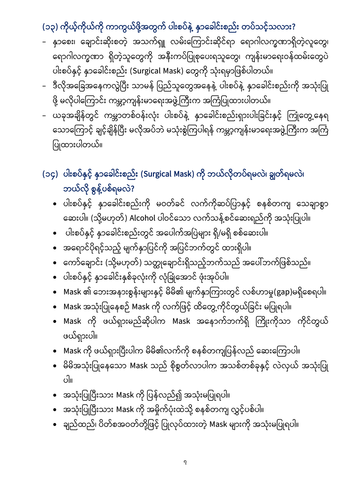## **(၁၃) ?**

- နှာစေး၊ ချောင်းဆိုးစတဲ့ အသက်ရှူ လမ်းကြောင်းဆိုင်ရာ ရောဂါလက္ခဏာရှိတဲ့လူတွေ၊ ရောဂါလက္ခဏာ ရှိတဲ့သူတွေကို အနီးကပ်ပြုစုပေးရသူတွေ၊ ကျန်းမာရေးဝန်ထမ်းတွေပဲ ပါးစပ်နှင့် နာခေါင်းစည်း (Surgical Mask) တွေကို သုံးရမှာဖြစ်ပါတယ်။
- ဒီလိုအခြေအနေကလွဲပြီး သာမန် ပြည်သူတွေအနေနဲ့ ပါးစပ်နဲ့ နှာခေါင်းစည်းကို အသုံးပြု ဖို့ မလိုပါကြောင်း ကမ္ဘာ့ကျန်းမာရေးအဖွဲ့ကြီးက အကြံပြုထားပါတယ်။
- ယခုအချိန်တွင် ကမ္ဘာတစ်ဝန်းလုံး ပါးစပ်နဲ့ နာခေါင်းစည်းရှားပါးခြင်းနှင့် ကြုံတွေ့နေရ သောကြောင့် ချင့်ချိန်ပြီး မလိုအပ်ဘဲ မသုံးစွဲကြပါရန် ကမ္ဘာ့ကျန်းမာရေးအဖွဲ့ကြီးက အကြံ ပြုထားပါတယ်။

## **(၁၄) (Surgical Mask) ၊ ၊** ဘယ်လို စွန့်ပစ်ရမလဲ?

- ပါးစပ်နှင့် နှာခေါင်းစည်းကို မဝတ်ခင် လက်ကိုဆပ်ပြာနှင့် စနစ်တကျ သေချာစွာ ဆေးပါ။ (သို့မဟုတ်) Alcohol ပါဝင်သော လက်သန့်စင်ဆေးရည်ကို အသုံးပြုပါ။
- ပါးစပ်နှင့် နှာခေါင်းစည်းတွင် အပေါက်အပြဲများ ရှိ/မရှိ စစ်ဆေးပါ။
- အရောင်ပိုရင့်သည့် မျက်နှာပြင်ကို အပြင်ဘက်တွင် ထားရှိပါ။
- ကော်ချောင်း (သို့မဟုတ်) သတ္တုချောင်းရှိသည့်ဘက်သည် အပေါ်ဘက်ဖြစ်သည်။
- ပါးစပ်နှင့် နှာခေါင်းနှစ်ခုလုံးကို လုံခြုံအောင် ဖုံးအုပ်ပါ။
- Mask ၏ ဘေးအနားစွန်းများနှင့် မိမိ၏ မျက်နှာကြားတွင် လစ်ဟာမှု(gap)မရှိစေရပါ။
- Mask အသုံးပြုနေစဉ် Mask ကို လက်ဖြင့် ထိတွေ့ကိုင်တွယ်ခြင်း မပြုရပါ။
- Mask ကို ဖယ်ရှားမည်ဆိုပါက Mask အနောက်ဘက်ရှိ ကြိုးကိုသာ ကိုင်တွယ် ဖယ်ရှားပါ။
- Mask ကို ဖယ်ရှားပြီးပါက မိမိ၏လက်ကို စနစ်တကျပြန်လည် ဆေးကြောပါ။
- မိမိအသုံးပြုနေသော Mask သည် စိုစွတ်လာပါက အသစ်တစ်ခုနှင့် လဲလှယ် အသုံးပြု ။
- အသုံးပြုပြီးသား Mask ကို ပြန်လည်၍ အသုံးမပြုရပါ။
- အသုံးပြုပြီးသား Mask ကို အမှိုက်ပုံးထဲသို့ စနစ်တကျ လွှင့်ပစ်ပါ။
- ချည်ထည်၊ ပိတ်စအဝတ်တို့ဖြင့် ပြုလုပ်ထားတဲ့ Mask များကို အသုံးမပြုရပါ။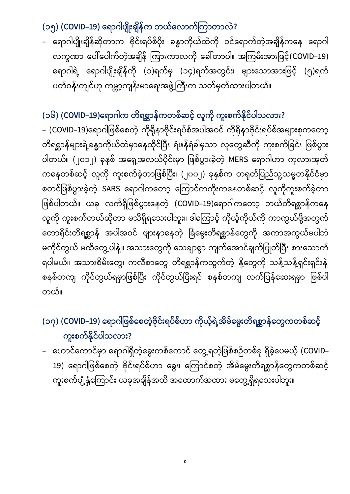### **(၁၅) (COVID-19) ?**

ရောဂါပျိုးချိန်ဆိုတာက ဗိုင်းရပ်စ်ပိုး ခန္ဓာကိုယ်ထဲကို ဝင်ရောက်တဲ့အချိန်ကနေ ရောဂါ လက္ခဏာ ပေါ်ပေါက်တဲ့အချိန် ကြားကာလကို ခေါ်တာပါ။ အကြမ်းအားဖြင့်(COVID-19) ရောဂါရဲ့ ရောဂါပျိုးချိန်ကို (၁)ရက်မှ (၁၄)ရက်အတွင်း၊ များသောအားဖြင့် (၅)ရက် ပတ်ဝန်းကျင်ဟု ကမ္ဘာ့ကျန်းမာရေးအဖွဲ့ကြီးက သတ်မှတ်ထားပါတယ်။

### **(၁၆) (COVID-19) ?**

– (COVID–19)ရောဂါဖြစ်စေတဲ့ ကိုရိုနာဗိုင်းရပ်စ်အပါအဝင် ကိုရိုနာဗိုင်းရပ်စ်အများစုကတော့ တိရစ္ဆာန်များရဲ့ခန္ဓာကိုယ်ထဲမှာနေထိုင်ပြီး ရံဖန်ရံခါမှသာ လူတွေဆီကို ကူးစက်ခြင်း ဖြစ်ပွား ပါတယ်။ (၂၀၁၂) ခုနှစ် အရှေ့အလယ်ပိုင်းမှာ ဖြစ်ပွားခဲ့တဲ့ MERS ရောဂါဟာ ကုလားအုတ် ကနေတစ်ဆင့် လူကို ကူးစက်ခဲ့တာဖြစ်ပြီး၊ (၂၀၀၂) ခုနှစ်က တရုတ်ပြည်သူ့သမ္မတနိုင်ငံမှာ စတင်ဖြစ်ပွားခဲ့တဲ့ SARS ရောဂါကတော့ ကြောင်ကတိုးကနေတစ်ဆင့် လူကိုကူးစက်ခဲ့တာ ဖြစ်ပါတယ်။ ယခု လက်ရှိဖြစ်ပွားနေတဲ့ (COVID–19)ရောဂါကတော့ ဘယ်တိရစ္ဆာန်ကနေ လူကို ကူးစက်တယ်ဆိုတာ မသိရှိရသေးပါဘူး။ ဒါကြောင့် ကိုယ့်ကိုယ်ကို ကာကွယ်ဖို့အတွက် တောရိုင်းတိရစ္ဆာန် အပါအဝင် ဖျားနာနေတဲ့ ခြံမွေးတိရစ္ဆာန်တွေကို အကာအကွယ်မပါဘဲ မကိုင်တွယ် မထိတွေ့ပါနဲ့။ အသားတွေကို သေချာစွာ ကျက်အောင်ချက်ပြုတ်ပြီး စားသောက် ရပါမယ်။ အသားစိမ်းတွေ၊ ကလီစာတွေ တိရစ္ဆာန်ကထွက်တဲ့ နို့တွေကို သန့်သန့်ရှင်းရှင်းနဲ့ စနစ်တကျ ကိုင်တွယ်ရမှာဖြစ်ပြီး ကိုင်တွယ်ပြီးရင် စနစ်တကျ လက်ပြန်ဆေးရမှာ ဖြစ်ပါ ။

## **(၁၇) (COVID-19)**  ကူးစက်နိုင်ပါသလား?

– ဟောင်ကောင်မှာ ရောဂါရှိတဲ့ခွေးတစ်ကောင် တွေ့ရတဲ့ဖြစ်စဉ်တစ်ခု ရှိခဲ့ပေမယ့် (COVID– 19) ရောဂါဖြစ်စေတဲ့ ဗိုင်းရပ်စ်ဟာ ခွေး၊ ကြောင်စတဲ့ အိမ်မွေးတိရစ္ဆာန်တွေကတစ်ဆင့် ကူးစက်ပျံ့နှံ့ကြောင်း ယခုအချိန်အထိ အထောက်အထား မတွေ့ရှိရသေးပါဘူး။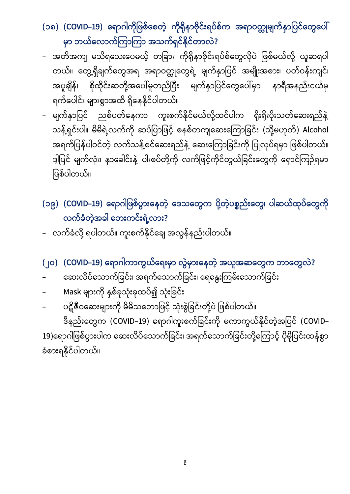**(၁၈) (COVID-19)**  မှာ ဘယ်လောက်ကြာကြာ အသက်ရှင်နိုင်တာလဲ?

- အတိအကျ မသိရသေးပေမယ့် တခြား ကိုရိုနာဗိုင်းရပ်စ်တွေလိုပဲ ဖြစ်မယ်လို့ ယူဆရပါ တယ်။ တွေ့ရှိချက်တွေအရ အရာဝတ္ထုတွေရဲ့ မျက်နှာပြင် အမျိုးအစား၊ ပတ်ဝန်းကျင်၊ အပူချိန်၊ စိုထိုင်းဆတို့အပေါ်မူတည်ပြီး မျက်နှာပြင်တွေပေါ်မှာ နာရီအနည်းငယ်မှ ရက်ပေါင်း များစွာအထိ ရှိနေနိုင်ပါတယ်။
- မျက်နှာပြင် ညစ်ပတ်နေကာ ကူးစက်နိုင်မယ်လို့ထင်ပါက ရိုးရိုးပိုးသတ်ဆေးရည်နဲ့ သန့်ရှင်းပါ။ မိမိရဲ့လက်ကို ဆပ်ပြာဖြင့် စနစ်တကျဆေးကြောခြင်း (သို့မဟုတ်) Alcohol အရက်ပြန်ပါဝင်တဲ့ လက်သန့်စင်ဆေးရည်နဲ့ ဆေးကြောခြင်းကို ပြုလုပ်ရမှာ ဖြစ်ပါတယ်။ ဒ့ါပြင် မျက်လုံး၊ နှာခေါင်းနဲ့ ပါးစပ်တို့ကို လက်ဖြင့်ကိုင်တွယ်ခြင်းတွေကို ရှောင်ကြဉ်ရမှာ ဖြစ်ပါတယ်။

**(၁၉) (COVID-19) ၊**  လက်ခံတဲ့အခါ ဘေးကင်းရဲ့လား?

- ့လက်ခံလို့ ရပါတယ်။ ကူးစက်နိုင်ချေ အလွန်နည်းပါတယ်။
- **(၂၀) (COVID-19) ?**
- ဆေးလိပ်သောက်ခြင်း၊ အရက်သောက်ခြင်း၊ ရေနွေးကြမ်းသောက်ခြင်း
- Mask များကို နှစ်ခုသုံးခုထပ်၍ သုံးခြင်း
- ပဋိဧိဝဆေးများကို မိမိသဘောဖြင့် သုံးစွဲခြင်းတို့ပဲ ဖြစ်ပါတယ်။

ဒီနည်းတွေက (COVID–19) ရောဂါကူးစက်ခြင်းကို မကာကွယ်နိုင်တဲ့အပြင် (COVID– 19)ရောဂါဖြစ်ပွားပါက ဆေးလိပ်သောက်ခြင်း၊ အရက်သောက်ခြင်းတို့ကြောင့် ပိုမိုပြင်းထန်စွာ ခံစားရနိုင်ပါတယ်။